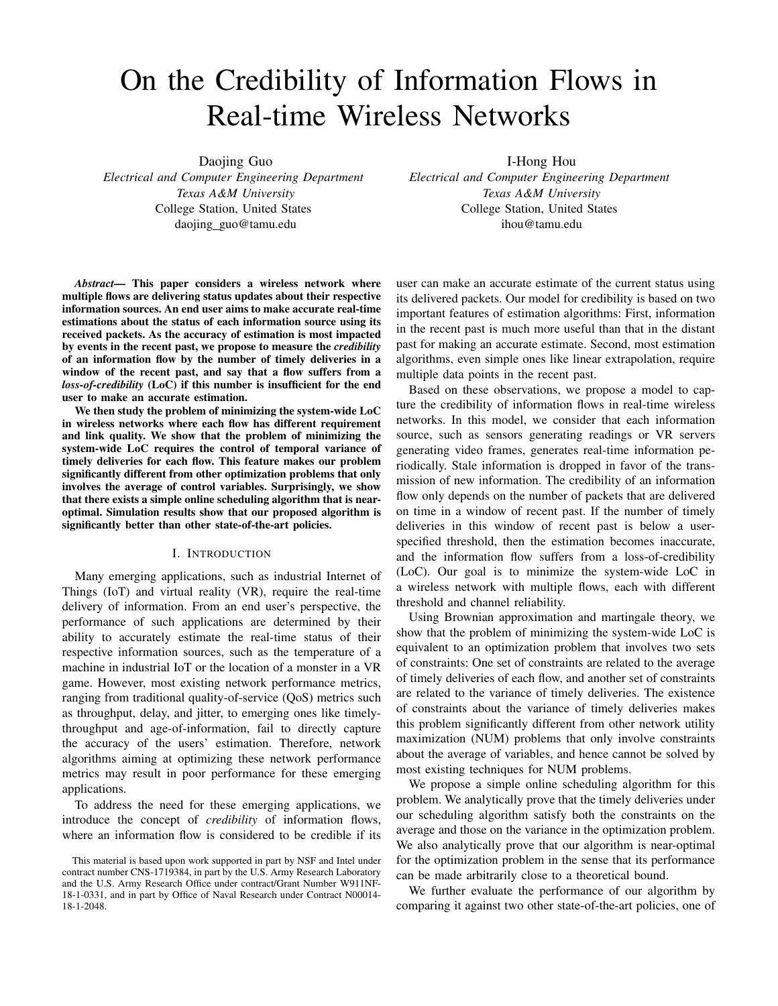# On the Credibility of Information Flows in Real-time Wireless Networks

Daojing Guo

*Electrical and Computer Engineering Department Texas A&M University* College Station, United States daojing\_guo@tamu.edu

*Abstract*— This paper considers a wireless network where multiple flows are delivering status updates about their respective information sources. An end user aims to make accurate real-time estimations about the status of each information source using its received packets. As the accuracy of estimation is most impacted by events in the recent past, we propose to measure the *credibility* of an information flow by the number of timely deliveries in a window of the recent past, and say that a flow suffers from a *loss-of-credibility* (LoC) if this number is insufficient for the end user to make an accurate estimation.

We then study the problem of minimizing the system-wide LoC in wireless networks where each flow has different requirement and link quality. We show that the problem of minimizing the system-wide LoC requires the control of temporal variance of timely deliveries for each flow. This feature makes our problem significantly different from other optimization problems that only involves the average of control variables. Surprisingly, we show that there exists a simple online scheduling algorithm that is nearoptimal. Simulation results show that our proposed algorithm is significantly better than other state-of-the-art policies.

#### I. INTRODUCTION

Many emerging applications, such as industrial Internet of Things (IoT) and virtual reality (VR), require the real-time delivery of information. From an end user's perspective, the performance of such applications are determined by their ability to accurately estimate the real-time status of their respective information sources, such as the temperature of a machine in industrial IoT or the location of a monster in a VR game. However, most existing network performance metrics, ranging from traditional quality-of-service (QoS) metrics such as throughput, delay, and jitter, to emerging ones like timelythroughput and age-of-information, fail to directly capture the accuracy of the users' estimation. Therefore, network algorithms aiming at optimizing these network performance metrics may result in poor performance for these emerging applications.

To address the need for these emerging applications, we introduce the concept of *credibility* of information flows, where an information flow is considered to be credible if its

This material is based upon work supported in part by NSF and Intel under contract number CNS-1719384, in part by the U.S. Army Research Laboratory and the U.S. Army Research Office under contract/Grant Number W911NF-18-1-0331, and in part by Office of Naval Research under Contract N00014- 18-1-2048.

I-Hong Hou

*Electrical and Computer Engineering Department Texas A&M University* College Station, United States ihou@tamu.edu

user can make an accurate estimate of the current status using its delivered packets. Our model for credibility is based on two important features of estimation algorithms: First, information in the recent past is much more useful than that in the distant past for making an accurate estimate. Second, most estimation algorithms, even simple ones like linear extrapolation, require multiple data points in the recent past.

Based on these observations, we propose a model to capture the credibility of information flows in real-time wireless networks. In this model, we consider that each information source, such as sensors generating readings or VR servers generating video frames, generates real-time information periodically. Stale information is dropped in favor of the transmission of new information. The credibility of an information flow only depends on the number of packets that are delivered on time in a window of recent past. If the number of timely deliveries in this window of recent past is below a userspecified threshold, then the estimation becomes inaccurate, and the information flow suffers from a loss-of-credibility (LoC). Our goal is to minimize the system-wide LoC in a wireless network with multiple flows, each with different threshold and channel reliability.

Using Brownian approximation and martingale theory, we show that the problem of minimizing the system-wide LoC is equivalent to an optimization problem that involves two sets of constraints: One set of constraints are related to the average of timely deliveries of each flow, and another set of constraints are related to the variance of timely deliveries. The existence of constraints about the variance of timely deliveries makes this problem significantly different from other network utility maximization (NUM) problems that only involve constraints about the average of variables, and hence cannot be solved by most existing techniques for NUM problems.

We propose a simple online scheduling algorithm for this problem. We analytically prove that the timely deliveries under our scheduling algorithm satisfy both the constraints on the average and those on the variance in the optimization problem. We also analytically prove that our algorithm is near-optimal for the optimization problem in the sense that its performance can be made arbitrarily close to a theoretical bound.

We further evaluate the performance of our algorithm by comparing it against two other state-of-the-art policies, one of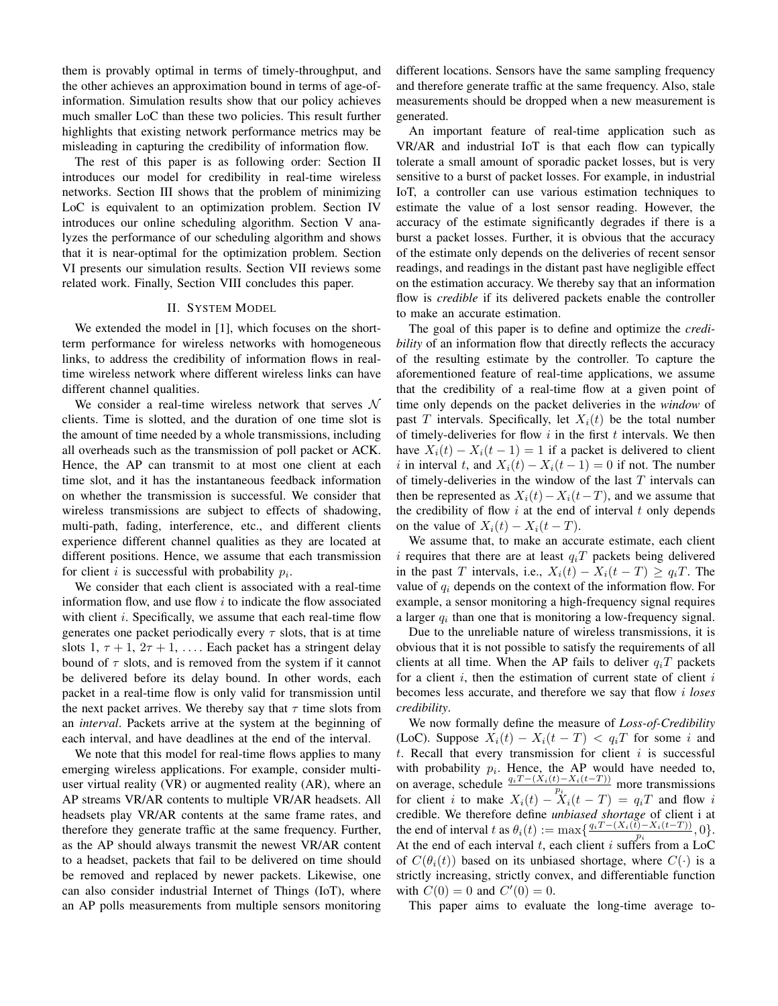them is provably optimal in terms of timely-throughput, and the other achieves an approximation bound in terms of age-ofinformation. Simulation results show that our policy achieves much smaller LoC than these two policies. This result further highlights that existing network performance metrics may be misleading in capturing the credibility of information flow.

The rest of this paper is as following order: Section II introduces our model for credibility in real-time wireless networks. Section III shows that the problem of minimizing LoC is equivalent to an optimization problem. Section IV introduces our online scheduling algorithm. Section V analyzes the performance of our scheduling algorithm and shows that it is near-optimal for the optimization problem. Section VI presents our simulation results. Section VII reviews some related work. Finally, Section VIII concludes this paper.

### II. SYSTEM MODEL

We extended the model in [1], which focuses on the shortterm performance for wireless networks with homogeneous links, to address the credibility of information flows in realtime wireless network where different wireless links can have different channel qualities.

We consider a real-time wireless network that serves  $\mathcal N$ clients. Time is slotted, and the duration of one time slot is the amount of time needed by a whole transmissions, including all overheads such as the transmission of poll packet or ACK. Hence, the AP can transmit to at most one client at each time slot, and it has the instantaneous feedback information on whether the transmission is successful. We consider that wireless transmissions are subject to effects of shadowing, multi-path, fading, interference, etc., and different clients experience different channel qualities as they are located at different positions. Hence, we assume that each transmission for client *i* is successful with probability  $p_i$ .

We consider that each client is associated with a real-time information flow, and use flow  $i$  to indicate the flow associated with client  $i$ . Specifically, we assume that each real-time flow generates one packet periodically every  $\tau$  slots, that is at time slots 1,  $\tau$  + 1,  $2\tau$  + 1, ... Each packet has a stringent delay bound of  $\tau$  slots, and is removed from the system if it cannot be delivered before its delay bound. In other words, each packet in a real-time flow is only valid for transmission until the next packet arrives. We thereby say that  $\tau$  time slots from an *interval*. Packets arrive at the system at the beginning of each interval, and have deadlines at the end of the interval.

We note that this model for real-time flows applies to many emerging wireless applications. For example, consider multiuser virtual reality (VR) or augmented reality (AR), where an AP streams VR/AR contents to multiple VR/AR headsets. All headsets play VR/AR contents at the same frame rates, and therefore they generate traffic at the same frequency. Further, as the AP should always transmit the newest VR/AR content to a headset, packets that fail to be delivered on time should be removed and replaced by newer packets. Likewise, one can also consider industrial Internet of Things (IoT), where an AP polls measurements from multiple sensors monitoring different locations. Sensors have the same sampling frequency and therefore generate traffic at the same frequency. Also, stale measurements should be dropped when a new measurement is generated.

An important feature of real-time application such as VR/AR and industrial IoT is that each flow can typically tolerate a small amount of sporadic packet losses, but is very sensitive to a burst of packet losses. For example, in industrial IoT, a controller can use various estimation techniques to estimate the value of a lost sensor reading. However, the accuracy of the estimate significantly degrades if there is a burst a packet losses. Further, it is obvious that the accuracy of the estimate only depends on the deliveries of recent sensor readings, and readings in the distant past have negligible effect on the estimation accuracy. We thereby say that an information flow is *credible* if its delivered packets enable the controller to make an accurate estimation.

The goal of this paper is to define and optimize the *credibility* of an information flow that directly reflects the accuracy of the resulting estimate by the controller. To capture the aforementioned feature of real-time applications, we assume that the credibility of a real-time flow at a given point of time only depends on the packet deliveries in the *window* of past T intervals. Specifically, let  $X_i(t)$  be the total number of timely-deliveries for flow  $i$  in the first  $t$  intervals. We then have  $X_i(t) - X_i(t-1) = 1$  if a packet is delivered to client i in interval t, and  $X_i(t) - X_i(t-1) = 0$  if not. The number of timely-deliveries in the window of the last  $T$  intervals can then be represented as  $X_i(t) - X_i(t-T)$ , and we assume that the credibility of flow  $i$  at the end of interval  $t$  only depends on the value of  $X_i(t) - X_i(t - T)$ .

We assume that, to make an accurate estimate, each client i requires that there are at least  $q_iT$  packets being delivered in the past T intervals, i.e.,  $X_i(t) - X_i(t - T) \geq q_iT$ . The value of  $q_i$  depends on the context of the information flow. For example, a sensor monitoring a high-frequency signal requires a larger  $q_i$  than one that is monitoring a low-frequency signal.

Due to the unreliable nature of wireless transmissions, it is obvious that it is not possible to satisfy the requirements of all clients at all time. When the AP fails to deliver  $q_iT$  packets for a client  $i$ , then the estimation of current state of client  $i$ becomes less accurate, and therefore we say that flow i *loses credibility*.

We now formally define the measure of *Loss-of-Credibility* (LoC). Suppose  $X_i(t) - X_i(t - T) < q_iT$  for some i and  $t$ . Recall that every transmission for client  $i$  is successful with probability  $p_i$ . Hence, the AP would have needed to, on average, schedule  $\frac{q_i T - (X_i(t) - X_i(t-T))}{p_i}$  more transmissions for client i to make  $X_i(t) - X_i(t - T) = q_iT$  and flow i credible. We therefore define *unbiased shortage* of client i at the end of interval t as  $\theta_i(t) := \max\{\frac{q_i T - (X_i(\tilde{t}) - X_i(t-T))}{n_i}\}$  $\frac{p_i^{(i)} - X_i(t-T_i^{(i)})}{p_i^{(i)}}$ , 0}. At the end of each interval t, each client i suffers from a LoC of  $C(\theta_i(t))$  based on its unbiased shortage, where  $C(\cdot)$  is a strictly increasing, strictly convex, and differentiable function with  $C(0) = 0$  and  $C'(0) = 0$ .

This paper aims to evaluate the long-time average to-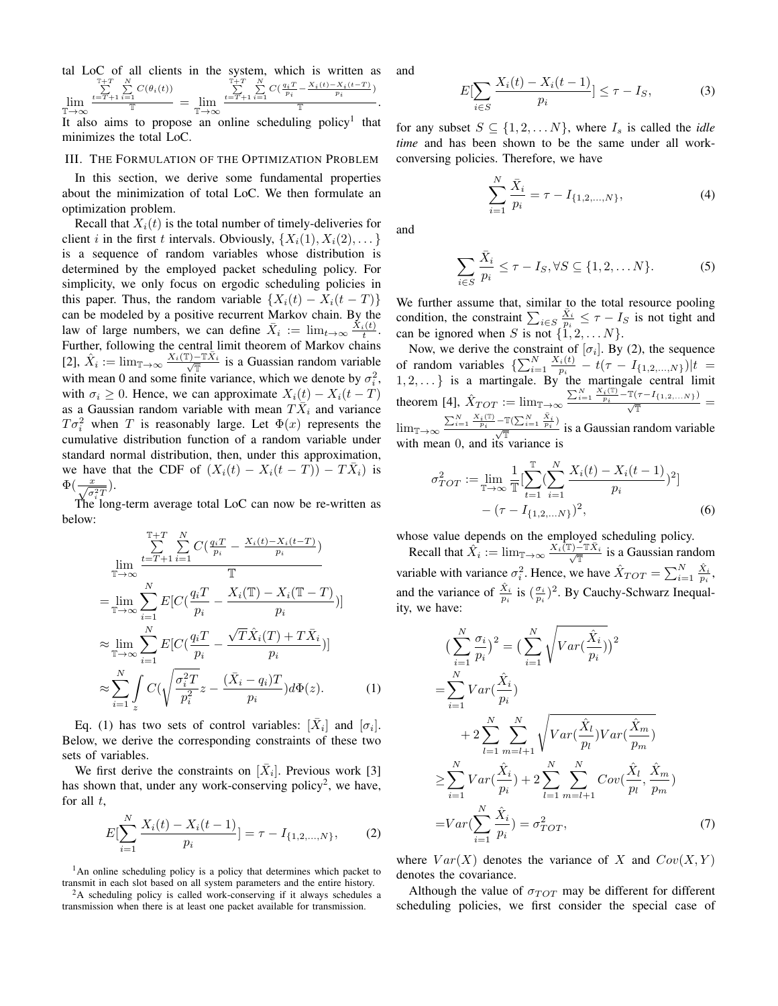tal LoC of all clients in the system, which is written as lim T→∞  $\sum_{t=T+1}^{\mathbb{T}+T} \sum_{i=1}^{N} C(\theta_i(t))$  $\frac{1}{T}$  =  $\lim$ T→∞  $\sum_{t=T+1}^{T+T} \sum_{i=1}^{N} C(\frac{q_i T}{p_i} - \frac{X_i(t) - X_i(t-T)}{p_i})$  $\overline{\mathbb{T}}$  .

It also aims to propose an online scheduling policy<sup>1</sup> that minimizes the total LoC.

#### III. THE FORMULATION OF THE OPTIMIZATION PROBLEM

In this section, we derive some fundamental properties about the minimization of total LoC. We then formulate an optimization problem.

Recall that  $X_i(t)$  is the total number of timely-deliveries for client i in the first t intervals. Obviously,  $\{X_i(1), X_i(2), \dots\}$ is a sequence of random variables whose distribution is determined by the employed packet scheduling policy. For simplicity, we only focus on ergodic scheduling policies in this paper. Thus, the random variable  $\{X_i(t) - X_i(t - T)\}\$ can be modeled by a positive recurrent Markov chain. By the law of large numbers, we can define  $\bar{X}_i := \lim_{t \to \infty} \frac{\bar{X}_i(t)}{t}$ . Further, following the central limit theorem of Markov chains [2],  $\hat{X}_i := \lim_{\mathbb{T} \to \infty} \frac{X_i(\mathbb{T}) - \mathbb{T}\bar{X}_i}{\sqrt{\mathbb{T}}}$  is a Guassian random variable with mean 0 and some finite variance, which we denote by  $\sigma_i^2$ , with  $\sigma_i \geq 0$ . Hence, we can approximate  $X_i(t) - X_i(t - T)$ as a Gaussian random variable with mean  $T\overline{X}_i$  and variance  $T\sigma_i^2$  when T is reasonably large. Let  $\Phi(x)$  represents the cumulative distribution function of a random variable under standard normal distribution, then, under this approximation, we have that the CDF of  $(X_i(t) - X_i(t - T)) - T\overline{X}_i$  is  $\Phi(\frac{x}{\sqrt{\sigma_i^2 T}})$ .

The long-term average total LoC can now be re-written as below:

$$
\lim_{T \to \infty} \frac{\sum_{t=T+1}^{T+T} \sum_{i=1}^{N} C(\frac{q_i T}{p_i} - \frac{X_i(t) - X_i(t-T)}{p_i})}{T}
$$
\n
$$
= \lim_{T \to \infty} \sum_{i=1}^{N} E[C(\frac{q_i T}{p_i} - \frac{X_i(T) - X_i(T-T)}{p_i})]
$$
\n
$$
\approx \lim_{T \to \infty} \sum_{i=1}^{N} E[C(\frac{q_i T}{p_i} - \frac{\sqrt{T} \hat{X}_i(T) + T \bar{X}_i}{p_i})]
$$
\n
$$
\approx \sum_{i=1}^{N} \int_{z}^{N} C(\sqrt{\frac{\sigma_i^2 T}{p_i^2}} z - \frac{(\bar{X}_i - q_i)T}{p_i}) d\Phi(z).
$$
\n(1)

Eq. (1) has two sets of control variables:  $[\bar{X}_i]$  and  $[\sigma_i]$ . Below, we derive the corresponding constraints of these two sets of variables.

We first derive the constraints on  $[\bar{X}_i]$ . Previous work [3] has shown that, under any work-conserving policy<sup>2</sup>, we have, for all  $t$ ,

$$
E[\sum_{i=1}^{N} \frac{X_i(t) - X_i(t-1)}{p_i}] = \tau - I_{\{1,2,\dots,N\}},
$$
 (2)

<sup>1</sup>An online scheduling policy is a policy that determines which packet to transmit in each slot based on all system parameters and the entire history.

 $2A$  scheduling policy is called work-conserving if it always schedules a transmission when there is at least one packet available for transmission.

and

$$
E[\sum_{i\in S} \frac{X_i(t) - X_i(t-1)}{p_i}] \le \tau - I_S,
$$
\n(3)

for any subset  $S \subseteq \{1, 2, \ldots N\}$ , where  $I_s$  is called the *idle time* and has been shown to be the same under all workconversing policies. Therefore, we have

$$
\sum_{i=1}^{N} \frac{\bar{X}_i}{p_i} = \tau - I_{\{1,2,\dots,N\}},\tag{4}
$$

and

$$
\sum_{i \in S} \frac{\bar{X}_i}{p_i} \le \tau - I_S, \forall S \subseteq \{1, 2, \dots N\}.
$$
 (5)

We further assume that, similar to the total resource pooling condition, the constraint  $\sum_{i \in S} \frac{\bar{X}_i}{p_i} \leq \tau - I_S$  is not tight and can be ignored when S is not  $\{1, 2, \ldots N\}$ .

Now, we derive the constraint of  $[\sigma_i]$ . By (2), the sequence of random variables  $\{\sum_{i=1}^{N} \frac{X_i(t)}{p_i}\}$  $\frac{f_i(t)}{p_i} - t(\tau - I_{\{1,2,...,N\}})|t| =$  $1, 2, \ldots$ } is a martingale. By the martingale central limit theorem [4],  $\hat{X}_{TOT} := \lim_{T \to \infty} \frac{\sum_{i=1}^{N} \frac{X_i(T)}{p_i} - T(\tau - I_{\{1,2,...,N\}})}{\sqrt{T}}$  $\lim_{\mathbb{T}\to\infty} \frac{\sum_{i=1}^{N} \frac{X_i(\mathbb{T})}{p_i} - \mathbb{T}(\sum_{i=1}^{N} \frac{\bar{X}_i}{p_i})}{\sqrt{\mathbb{T}}}$  is a Gaussian random variable with mean 0, and its variance is

$$
\sigma_{TOT}^2 := \lim_{T \to \infty} \frac{1}{T} \left[ \sum_{t=1}^T \left( \sum_{i=1}^N \frac{X_i(t) - X_i(t-1)}{p_i} \right)^2 \right] - \left( \tau - I_{\{1, 2, \dots, N\}} \right)^2, \tag{6}
$$

whose value depends on the employed scheduling policy.

Recall that  $\hat{X}_i := \lim_{\mathbb{T} \to \infty} \frac{X_i(\mathbb{T}) - \mathbb{T}\bar{X}_i}{\sqrt{\mathbb{T}}}$  is a Gaussian random variable with variance  $\sigma_i^2$ . Hence, we have  $\hat{X}_{TOT} = \sum_{i=1}^{N} \frac{\hat{X}_i}{p_i}$ , and the variance of  $\frac{\hat{X}_i}{p_i}$  is  $(\frac{\sigma_i}{p_i})^2$ . By Cauchy-Schwarz Inequality, we have:

$$
\left(\sum_{i=1}^{N} \frac{\sigma_i}{p_i}\right)^2 = \left(\sum_{i=1}^{N} \sqrt{Var(\frac{\hat{X}_i}{p_i})}\right)^2
$$
  
= 
$$
\sum_{i=1}^{N} Var(\frac{\hat{X}_i}{p_i})
$$
  
+ 
$$
2 \sum_{l=1}^{N} \sum_{m=l+1}^{N} \sqrt{Var(\frac{\hat{X}_l}{p_l})Var(\frac{\hat{X}_m}{p_m})}
$$
  

$$
\geq \sum_{i=1}^{N} Var(\frac{\hat{X}_i}{p_i}) + 2 \sum_{l=1}^{N} \sum_{m=l+1}^{N} Cov(\frac{\hat{X}_l}{p_l}, \frac{\hat{X}_m}{p_m})
$$
  
= 
$$
Var(\sum_{i=1}^{N} \frac{\hat{X}_i}{p_i}) = \sigma_{TOT}^2,
$$
 (7)

where  $Var(X)$  denotes the variance of X and  $Cov(X, Y)$ denotes the covariance.

Although the value of  $\sigma_{TOT}$  may be different for different scheduling policies, we first consider the special case of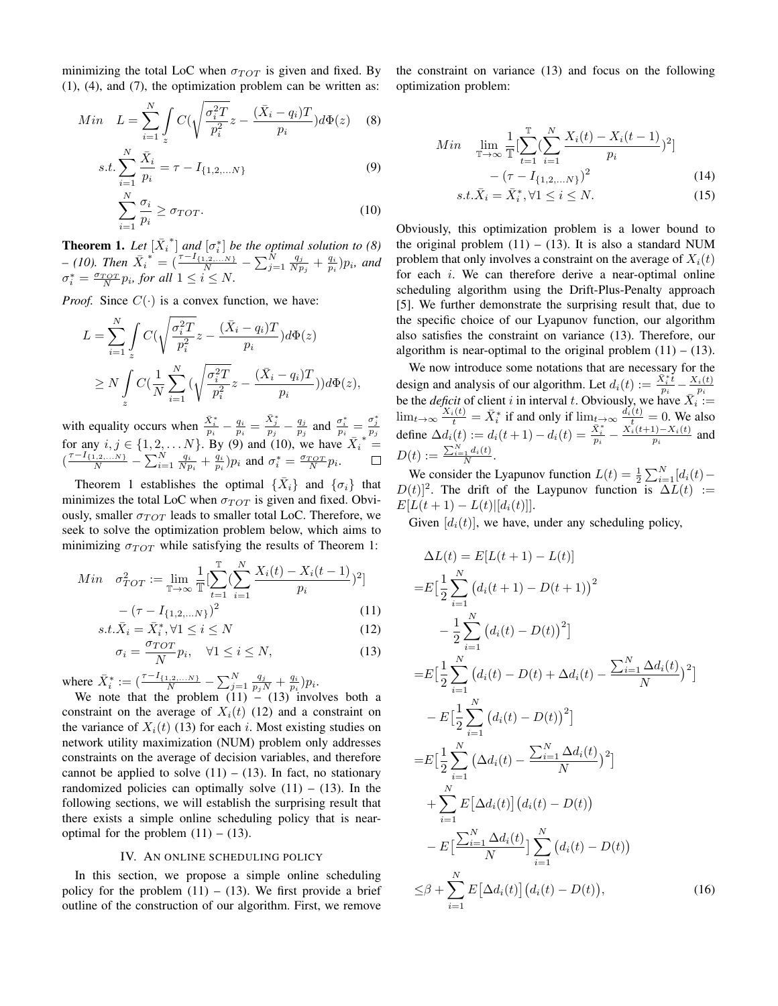minimizing the total LoC when  $\sigma_{TOT}$  is given and fixed. By (1), (4), and (7), the optimization problem can be written as:

$$
Min \quad L = \sum_{i=1}^{N} \int_{z} C\left(\sqrt{\frac{\sigma_i^2 T}{p_i^2}} z - \frac{(\bar{X}_i - q_i)T}{p_i}\right) d\Phi(z) \quad (8)
$$

$$
s.t. \sum_{i=1}^{N} \frac{\bar{X}_i}{p_i} = \tau - I_{\{1, 2, \dots N\}}
$$
(9)

$$
\sum_{i=1} \frac{\sigma_i}{p_i} \geq \sigma_{TOT}.\tag{10}
$$

**Theorem 1.** Let  $[\bar{X_i}^*]$  and  $[\sigma_i^*]$  be the optimal solution to (8) *– (10). Then*  $\bar{X_i}^* = (\frac{\tau - I_{\{1,2,\ldots,N\}}}{N} - \sum_{j=1}^N \frac{q_j}{N}$  $\frac{q_j}{Np_j} + \frac{q_i}{p_i}$ ) $p_i$ , and  $\sigma_i^* = \frac{\sigma_{TOT}}{N} p_i$ , for all  $1 \leq i \leq N$ .

*Proof.* Since  $C(\cdot)$  is a convex function, we have:

$$
L = \sum_{i=1}^{N} \int_{z} C\left(\sqrt{\frac{\sigma_i^2 T}{p_i^2}} z - \frac{(\bar{X}_i - q_i)T}{p_i}\right) d\Phi(z)
$$
  
\n
$$
\geq N \int_{z} C\left(\frac{1}{N} \sum_{i=1}^{N} \left(\sqrt{\frac{\sigma_i^2 T}{p_i^2}} z - \frac{(\bar{X}_i - q_i)T}{p_i}\right)\right) d\Phi(z),
$$

with equality occurs when  $\frac{\bar{X}_i^*}{p_i} - \frac{q_i}{p_i} = \frac{\bar{X}_j^*}{p_j} - \frac{q_j}{p_j}$ with equality occurs when  $\frac{\bar{X}_i^*}{p_i} - \frac{q_i}{p_i} = \frac{\bar{X}_j^*}{p_j} - \frac{q_j}{p_j}$  and  $\frac{\sigma_i^*}{p_i} = \frac{\sigma_j^*}{p_j}$ <br>for any  $i, j \in \{1, 2, ..., N\}$ . By (9) and (10), we have  $\bar{X}_i^* =$  $\left(\frac{\tau-I_{\{1,2,...,N\}}}{N}-\sum_{i=1}^{N}\frac{q_{i}}{Np_{i}}+\frac{q_{i}}{p_{i}}\right)p_{i}$  and  $\sigma_{i}^{*}=\frac{\sigma_{TOT}}{N}p_{i}$ .

Theorem 1 establishes the optimal  $\{\bar{X}_i\}$  and  $\{\sigma_i\}$  that minimizes the total LoC when  $\sigma_{TOT}$  is given and fixed. Obviously, smaller  $\sigma_{TOT}$  leads to smaller total LoC. Therefore, we seek to solve the optimization problem below, which aims to minimizing  $\sigma_{TOT}$  while satisfying the results of Theorem 1:

$$
Min \quad \sigma_{TOT}^2 := \lim_{T \to \infty} \frac{1}{T} \left[ \sum_{t=1}^T \left( \sum_{i=1}^N \frac{X_i(t) - X_i(t-1)}{p_i} \right)^2 \right] - \left( \tau - I_{\{1, 2, \dots, N\}} \right)^2 \tag{11}
$$

$$
s.t. \bar{X}_i = \bar{X}_i^*, \forall 1 \le i \le N \tag{12}
$$

$$
\sigma_i = \frac{\sigma_{TOT}}{N} p_i, \quad \forall 1 \le i \le N,
$$
\n(13)

where  $\bar{X}_i^* := \left(\frac{\tau - I_{\{1,2,\ldots,N\}}}{N} - \sum_{j=1}^N \frac{q_j}{p_j N} + \frac{q_i}{p_i}\right) p_i$ .

We note that the problem  $(11) - (13)$  involves both a constraint on the average of  $X_i(t)$  (12) and a constraint on the variance of  $X_i(t)$  (13) for each i. Most existing studies on network utility maximization (NUM) problem only addresses constraints on the average of decision variables, and therefore cannot be applied to solve  $(11) - (13)$ . In fact, no stationary randomized policies can optimally solve  $(11) - (13)$ . In the following sections, we will establish the surprising result that there exists a simple online scheduling policy that is nearoptimal for the problem  $(11) - (13)$ .

#### IV. AN ONLINE SCHEDULING POLICY

In this section, we propose a simple online scheduling policy for the problem  $(11) - (13)$ . We first provide a brief outline of the construction of our algorithm. First, we remove the constraint on variance (13) and focus on the following optimization problem:

$$
Min \quad \lim_{T \to \infty} \frac{1}{T} \left[ \sum_{t=1}^{T} \left( \sum_{i=1}^{N} \frac{X_i(t) - X_i(t-1)}{p_i} \right)^2 \right] - \left( \tau - I_{\{1, 2, \dots, N\}} \right)^2 \tag{14}
$$

$$
s.t. \bar{X}_i = \bar{X}_i^*, \forall 1 \le i \le N. \tag{15}
$$

Obviously, this optimization problem is a lower bound to the original problem  $(11) - (13)$ . It is also a standard NUM problem that only involves a constraint on the average of  $X_i(t)$ for each i. We can therefore derive a near-optimal online scheduling algorithm using the Drift-Plus-Penalty approach [5]. We further demonstrate the surprising result that, due to the specific choice of our Lyapunov function, our algorithm also satisfies the constraint on variance (13). Therefore, our algorithm is near-optimal to the original problem  $(11) - (13)$ .

We now introduce some notations that are necessary for the design and analysis of our algorithm. Let  $d_i(t) := \frac{\bar{X}_i^* \tilde{t}_i}{n_i}$  $\frac{X_i^*t}{p_i} - \frac{X_i(t)}{p_i}$ be the *deficit* of client *i* in interval *t*. Obviously, we have  $\overline{X}_i^p :=$  $\lim_{t\to\infty} \frac{X_i(t)}{t} = \bar{X}_i^*$  if and only if  $\lim_{\substack{t\to\infty \\ t\to t}} \frac{d_i(t)}{t} = 0$ . We also define  $\Delta d_i(t) := d_i(t+1) - d_i(t) = \frac{\bar{X}_i^*}{p_i} - \frac{\bar{X}_i(t+1) - \bar{X}_i(t)}{p_i}$  $\frac{1}{p_i}$  and  $\frac{p_i}{p_i}$  and  $D(t) := \frac{\sum_{i=1}^{N} d_i(t)}{N}.$ 

We consider the Lyapunov function  $L(t) = \frac{1}{2} \sum_{i=1}^{N} [d_i(t) D(t)$ <sup>2</sup>. The drift of the Laypunov function is  $\Delta L(t) :=$  $E[L(t+1) - L(t)][d_i(t)]$ .

Given  $[d_i(t)]$ , we have, under any scheduling policy,

$$
\Delta L(t) = E[L(t+1) - L(t)]
$$
  
\n
$$
= E\left[\frac{1}{2}\sum_{i=1}^{N}\left(d_i(t+1) - D(t+1)\right)^2 - \frac{1}{2}\sum_{i=1}^{N}\left(d_i(t) - D(t)\right)^2\right]
$$
  
\n
$$
= E\left[\frac{1}{2}\sum_{i=1}^{N}\left(d_i(t) - D(t) + \Delta d_i(t) - \frac{\sum_{i=1}^{N}\Delta d_i(t)}{N}\right)^2\right]
$$
  
\n
$$
- E\left[\frac{1}{2}\sum_{i=1}^{N}\left(d_i(t) - D(t)\right)^2\right]
$$
  
\n
$$
= E\left[\frac{1}{2}\sum_{i=1}^{N}\left(\Delta d_i(t) - \frac{\sum_{i=1}^{N}\Delta d_i(t)}{N}\right)^2\right]
$$
  
\n
$$
+ \sum_{i=1}^{N} E\left[\Delta d_i(t)\right] \left(d_i(t) - D(t)\right)
$$
  
\n
$$
- E\left[\frac{\sum_{i=1}^{N}\Delta d_i(t)}{N}\right] \sum_{i=1}^{N} \left(d_i(t) - D(t)\right)
$$
  
\n
$$
\leq \beta + \sum_{i=1}^{N} E\left[\Delta d_i(t)\right] \left(d_i(t) - D(t)\right), \qquad (16)
$$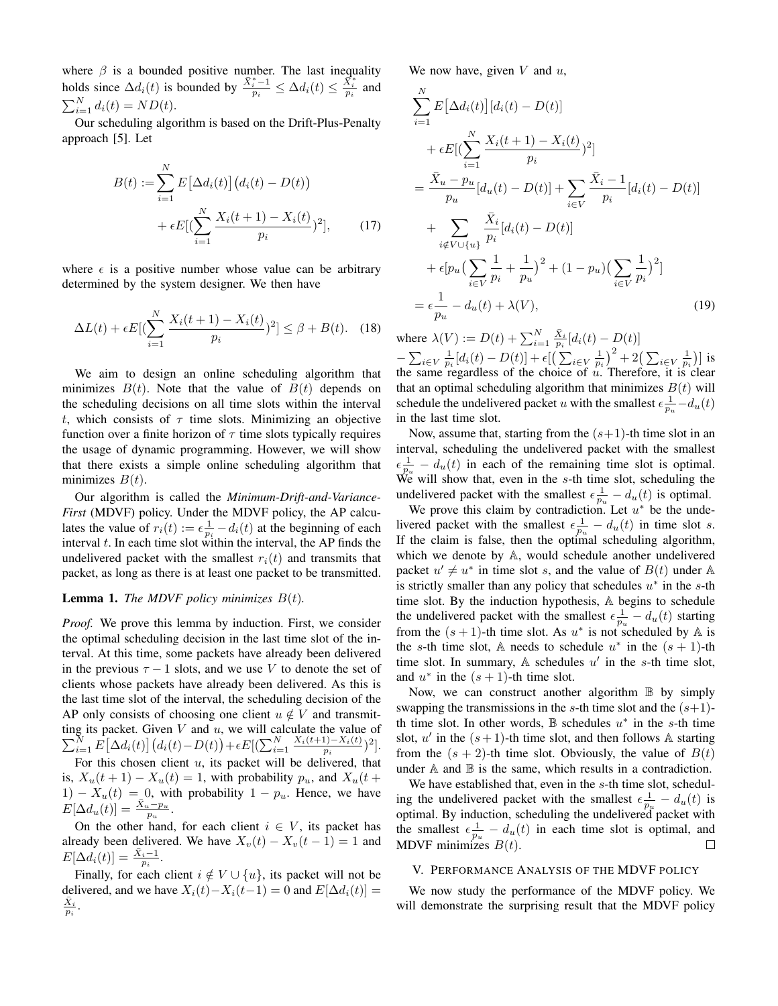where  $\beta$  is a bounded positive number. The last inequality holds since  $\Delta d_i(t)$  is bounded by  $\frac{\bar{X}_i^* - 1}{p_i} \leq \Delta d_i(t) \leq \frac{\bar{X}_i^*}{p_i}$  and  $\sum_{i=1}^{N} d_i(t) = ND(t).$ 

Our scheduling algorithm is based on the Drift-Plus-Penalty approach [5]. Let

$$
B(t) := \sum_{i=1}^{N} E\big[\Delta d_i(t)\big] \big(d_i(t) - D(t)\big) + \epsilon E\big[\big(\sum_{i=1}^{N} \frac{X_i(t+1) - X_i(t)}{p_i}\big)^2\big],\tag{17}
$$

where  $\epsilon$  is a positive number whose value can be arbitrary determined by the system designer. We then have

$$
\Delta L(t) + \epsilon E\left[ (\sum_{i=1}^{N} \frac{X_i(t+1) - X_i(t)}{p_i})^2 \right] \le \beta + B(t). \quad (18)
$$

We aim to design an online scheduling algorithm that minimizes  $B(t)$ . Note that the value of  $B(t)$  depends on the scheduling decisions on all time slots within the interval t, which consists of  $\tau$  time slots. Minimizing an objective function over a finite horizon of  $\tau$  time slots typically requires the usage of dynamic programming. However, we will show that there exists a simple online scheduling algorithm that minimizes  $B(t)$ .

Our algorithm is called the *Minimum-Drift-and-Variance-First* (MDVF) policy. Under the MDVF policy, the AP calculates the value of  $r_i(t) := \epsilon \frac{1}{p_i} - d_i(t)$  at the beginning of each interval  $t$ . In each time slot within the interval, the AP finds the undelivered packet with the smallest  $r_i(t)$  and transmits that packet, as long as there is at least one packet to be transmitted.

## Lemma 1. *The MDVF policy minimizes* B(t)*.*

*Proof.* We prove this lemma by induction. First, we consider the optimal scheduling decision in the last time slot of the interval. At this time, some packets have already been delivered in the previous  $\tau - 1$  slots, and we use V to denote the set of clients whose packets have already been delivered. As this is the last time slot of the interval, the scheduling decision of the AP only consists of choosing one client  $u \notin V$  and transmit- $\sum_{i=1}^N E\big[\Delta d_i(t)\big]\big(d_i(t)-D(t)\big)+\epsilon E[(\sum_{i=1}^N \frac{X_i(t+1)-X_i(t)}{p_i}]$ ting its packet. Given V and u, we will calculate the value of  $\frac{1)-X_i(t)}{p_i}$ <sup>2</sup>].

For this chosen client  $u$ , its packet will be delivered, that is,  $X_u(t+1) - X_u(t) = 1$ , with probability  $p_u$ , and  $X_u(t+1)$  $1) - X_u(t) = 0$ , with probability  $1 - p_u$ . Hence, we have  $E[\Delta d_u(t)] = \frac{\bar{X}_u - p_u}{p_u}.$ 

On the other hand, for each client  $i \in V$ , its packet has already been delivered. We have  $X_v(t) - X_v(t-1) = 1$  and  $E[\Delta d_i(t)] = \frac{\bar{X}_i-1}{p_i}.$ 

Finally, for each client  $i \notin V \cup \{u\}$ , its packet will not be delivered, and we have  $X_i(t) - X_i(t-1) = 0$  and  $E[\Delta d_i(t)] =$  $\frac{\bar{X}_i}{p_i}$ .

We now have, given  $V$  and  $u$ ,

$$
\sum_{i=1}^{N} E[\Delta d_i(t)][d_i(t) - D(t)]
$$
  
+  $\epsilon E[(\sum_{i=1}^{N} \frac{X_i(t+1) - X_i(t)}{p_i})^2]$   
=  $\frac{\bar{X}_u - p_u}{p_u}[d_u(t) - D(t)] + \sum_{i \in V} \frac{\bar{X}_i - 1}{p_i}[d_i(t) - D(t)]$   
+  $\sum_{i \notin V \cup \{u\}} \frac{\bar{X}_i}{p_i}[d_i(t) - D(t)]$   
+  $\epsilon [p_u(\sum_{i \in V} \frac{1}{p_i} + \frac{1}{p_u})^2 + (1 - p_u)(\sum_{i \in V} \frac{1}{p_i})^2]$   
=  $\epsilon \frac{1}{p_u} - d_u(t) + \lambda(V),$  (19)

where  $\lambda(V) := D(t) + \sum_{i=1}^{N} \frac{\bar{X}_i}{p_i} [d_i(t) - D(t)]$  $-\sum_{i\in V}\frac{1}{p_i}[d_i(t)-D(t)]+\epsilon[(\sum_{i\in V}\frac{1}{p_i})^2+2(\sum_{i\in V}\frac{1}{p_i})]$  is the same regardless of the choice of  $\hat{u}$ . Therefore, it is clear that an optimal scheduling algorithm that minimizes  $B(t)$  will schedule the undelivered packet u with the smallest  $\epsilon \frac{1}{p_u} - d_u(t)$ in the last time slot.

Now, assume that, starting from the  $(s+1)$ -th time slot in an interval, scheduling the undelivered packet with the smallest  $\epsilon \frac{1}{p_u} - d_u(t)$  in each of the remaining time slot is optimal. We will show that, even in the  $s$ -th time slot, scheduling the undelivered packet with the smallest  $\epsilon \frac{1}{p_u} - d_u(t)$  is optimal.

We prove this claim by contradiction. Let  $u^*$  be the undelivered packet with the smallest  $\epsilon \frac{1}{p_u} - d_u(t)$  in time slot s. If the claim is false, then the optimal scheduling algorithm, which we denote by A, would schedule another undelivered packet  $u' \neq u^*$  in time slot s, and the value of  $B(t)$  under A is strictly smaller than any policy that schedules  $u^*$  in the s-th time slot. By the induction hypothesis, A begins to schedule the undelivered packet with the smallest  $\epsilon \frac{1}{p_u} - d_u(t)$  starting from the  $(s + 1)$ -th time slot. As  $u^*$  is not scheduled by A is the s-th time slot, A needs to schedule  $u^*$  in the  $(s + 1)$ -th time slot. In summary,  $A$  schedules  $u'$  in the s-th time slot, and  $u^*$  in the  $(s + 1)$ -th time slot.

Now, we can construct another algorithm  $\mathbb B$  by simply swapping the transmissions in the s-th time slot and the  $(s+1)$ th time slot. In other words,  $\mathbb B$  schedules  $u^*$  in the s-th time slot,  $u'$  in the  $(s+1)$ -th time slot, and then follows A starting from the  $(s + 2)$ -th time slot. Obviously, the value of  $B(t)$ under  $A$  and  $B$  is the same, which results in a contradiction.

We have established that, even in the s-th time slot, scheduling the undelivered packet with the smallest  $\epsilon \frac{1}{p_u} - d_u(t)$  is optimal. By induction, scheduling the undelivered packet with the smallest  $\epsilon \frac{1}{p_u} - d_u(t)$  in each time slot is optimal, and MDVF minimizes  $B(t)$ .  $\Box$ 

#### V. PERFORMANCE ANALYSIS OF THE MDVF POLICY

We now study the performance of the MDVF policy. We will demonstrate the surprising result that the MDVF policy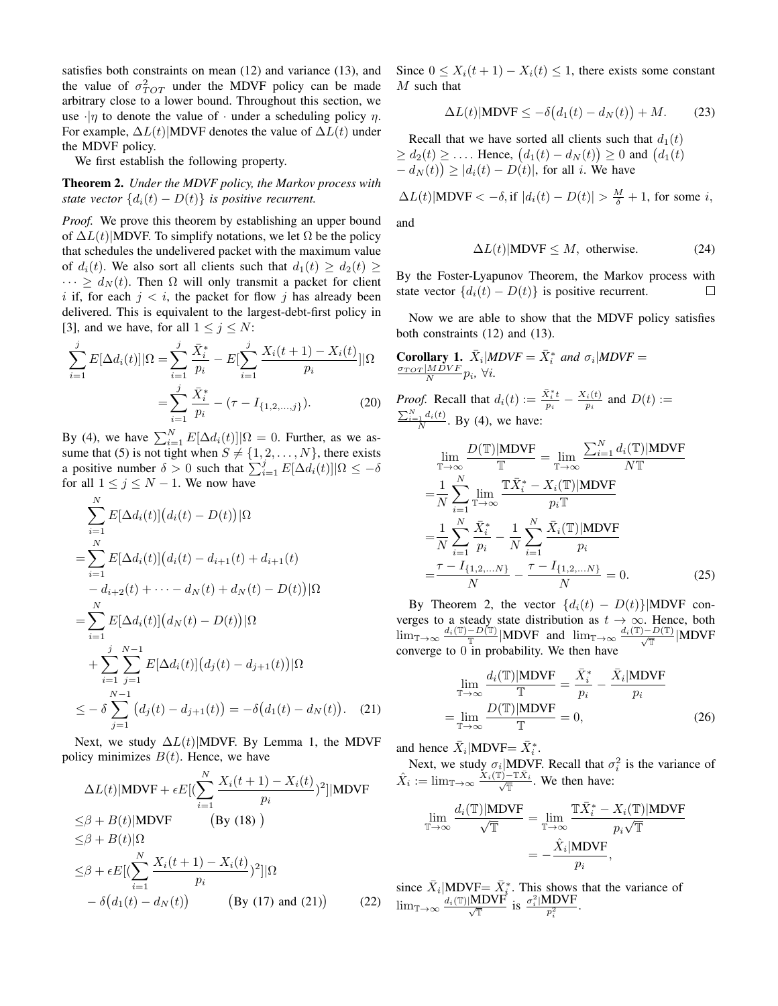satisfies both constraints on mean (12) and variance (13), and the value of  $\sigma_{TOT}^2$  under the MDVF policy can be made arbitrary close to a lower bound. Throughout this section, we use  $\cdot \mid n$  to denote the value of  $\cdot$  under a scheduling policy *n*. For example,  $\Delta L(t)$ |MDVF denotes the value of  $\Delta L(t)$  under the MDVF policy.

We first establish the following property.

Theorem 2. *Under the MDVF policy, the Markov process with state vector*  $\{d_i(t) - D(t)\}\$ *is positive recurrent.* 

*Proof.* We prove this theorem by establishing an upper bound of  $\Delta L(t)$ |MDVF. To simplify notations, we let  $\Omega$  be the policy that schedules the undelivered packet with the maximum value of  $d_i(t)$ . We also sort all clients such that  $d_1(t) \geq d_2(t) \geq$  $\cdots \geq d_N(t)$ . Then  $\Omega$  will only transmit a packet for client i if, for each  $j < i$ , the packet for flow j has already been delivered. This is equivalent to the largest-debt-first policy in [3], and we have, for all  $1 \le j \le N$ :

$$
\sum_{i=1}^{j} E[\Delta d_i(t)] |\Omega = \sum_{i=1}^{j} \frac{\bar{X}_i^*}{p_i} - E[\sum_{i=1}^{j} \frac{X_i(t+1) - X_i(t)}{p_i}] |\Omega
$$

$$
= \sum_{i=1}^{j} \frac{\bar{X}_i^*}{p_i} - (\tau - I_{\{1, 2, ..., j\}}).
$$
(20)

By (4), we have  $\sum_{i=1}^{N} E[\Delta d_i(t)] | \Omega = 0$ . Further, as we assume that (5) is not tight when  $S \neq \{1, 2, ..., N\}$ , there exists a positive number  $\delta > 0$  such that  $\sum_{i=1}^{j} E[\Delta d_i(t)] | \Omega \leq -\delta$ for all  $1 \leq j \leq N - 1$ . We now have

$$
\sum_{i=1}^{N} E[\Delta d_i(t)] (d_i(t) - D(t)) | \Omega
$$
\n
$$
= \sum_{i=1}^{N} E[\Delta d_i(t)] (d_i(t) - d_{i+1}(t) + d_{i+1}(t)
$$
\n
$$
- d_{i+2}(t) + \dots - d_N(t) + d_N(t) - D(t)) | \Omega
$$
\n
$$
= \sum_{i=1}^{N} E[\Delta d_i(t)] (d_N(t) - D(t)) | \Omega
$$
\n
$$
+ \sum_{i=1}^{j} \sum_{j=1}^{N-1} E[\Delta d_i(t)] (d_j(t) - d_{j+1}(t)) | \Omega
$$
\n
$$
\leq - \delta \sum_{j=1}^{N-1} (d_j(t) - d_{j+1}(t)) = -\delta (d_1(t) - d_N(t)). \quad (21)
$$

Next, we study  $\Delta L(t)$ |MDVF. By Lemma 1, the MDVF policy minimizes  $B(t)$ . Hence, we have

$$
\Delta L(t)|\text{MDVF} + \epsilon E[(\sum_{i=1}^{N} \frac{X_i(t+1) - X_i(t)}{p_i})^2]|\text{MDVF}
$$
  
\n
$$
\leq \beta + B(t)|\text{MDVF} \qquad \text{(By (18))}
$$
  
\n
$$
\leq \beta + B(t)|\Omega
$$
  
\n
$$
\leq \beta + \epsilon E[(\sum_{i=1}^{N} \frac{X_i(t+1) - X_i(t)}{p_i})^2]|\Omega
$$
  
\n
$$
- \delta(d_1(t) - d_N(t)) \qquad \text{(By (17) and (21))} \qquad (22)
$$

Since  $0 \leq X_i(t+1) - X_i(t) \leq 1$ , there exists some constant  $M$  such that

$$
\Delta L(t)|\text{MDVF} \le -\delta \big(d_1(t) - d_N(t)\big) + M. \tag{23}
$$

Recall that we have sorted all clients such that  $d_1(t)$  $\geq d_2(t) \geq \ldots$  Hence,  $(d_1(t) - d_N(t)) \geq 0$  and  $(d_1(t))$  $(-d_N(t)) \geq |d_i(t) - D(t)|$ , for all i. We have

$$
\Delta L(t)|\text{MDVF} < -\delta, \text{if } |d_i(t) - D(t)| > \frac{M}{\delta} + 1 \text{, for some } i,
$$

and

$$
\Delta L(t)|\text{MDVF} \leq M, \text{ otherwise.} \tag{24}
$$

By the Foster-Lyapunov Theorem, the Markov process with state vector  $\{d_i(t) - D(t)\}\$ is positive recurrent.  $\Box$ 

Now we are able to show that the MDVF policy satisfies both constraints (12) and (13).

**Corollary 1.** 
$$
\bar{X}_i | MDVF = \bar{X}_i^*
$$
 and  $\sigma_i | MDVF = \frac{\sigma_{TOT} | MDVF}{N} p_i$ ,  $\forall i$ .

*Proof.* Recall that  $d_i(t) := \frac{\bar{X}_i^* t}{n_i}$  $\frac{X_i^*t}{p_i} - \frac{X_i(t)}{p_i}$  $\frac{i(t)}{p_i}$  and  $D(t) :=$  $\frac{\sum_{i=1}^{N} d_i(t)}{N}$ . By (4), we have:

$$
\lim_{T \to \infty} \frac{D(T)|MDVF}{T} = \lim_{T \to \infty} \frac{\sum_{i=1}^{N} d_i(T)|MDVF}{NT}
$$

$$
= \frac{1}{N} \sum_{i=1}^{N} \lim_{T \to \infty} \frac{T\bar{X}_i^* - X_i(T)|MDVF}{p_i T}
$$

$$
= \frac{1}{N} \sum_{i=1}^{N} \frac{\bar{X}_i^*}{p_i} - \frac{1}{N} \sum_{i=1}^{N} \frac{\bar{X}_i(T)|MDVF}{p_i}
$$

$$
= \frac{\tau - I_{\{1,2,...N\}}}{N} - \frac{\tau - I_{\{1,2,...N\}}}{N} = 0.
$$
(25)

By Theorem 2, the vector  $\{d_i(t) - D(t)\}\$ MDVF converges to a steady state distribution as  $t \to \infty$ . Hence, both  $\lim_{\mathbb{T}\to\infty}\frac{d_i(\mathbb{T})-D(\mathbb{T})}{\mathbb{T}}|\text{MDVF}$  and  $\lim_{\mathbb{T}\to\infty}\frac{d_i(\mathbb{T})-D(\mathbb{T})}{\sqrt{\mathbb{T}}}|\text{MDVF}$ converge to 0 in probability. We then have

$$
\lim_{\mathbb{T}\to\infty} \frac{d_i(\mathbb{T})|\text{MDVF}}{\mathbb{T}} = \frac{\bar{X}_i^*}{p_i} - \frac{\bar{X}_i|\text{MDVF}}{p_i}
$$
\n
$$
= \lim_{\mathbb{T}\to\infty} \frac{D(\mathbb{T})|\text{MDVF}}{\mathbb{T}} = 0,
$$
\n(26)

and hence  $\bar{X}_i$  MDVF=  $\bar{X}_i^*$ .

Next, we study  $\sigma_i$  MDVF. Recall that  $\sigma_i^2$  is the variance of  $\hat{X}_i := \lim_{\mathbb{T} \to \infty} \frac{\hat{X}_i(\mathbb{T}) - \mathbb{T}\bar{X}_i}{\sqrt{\mathbb{T}}}$ . We then have:

$$
\lim_{\mathbb{T}\to\infty} \frac{d_i(\mathbb{T})|\text{MDVF}}{\sqrt{\mathbb{T}}} = \lim_{\mathbb{T}\to\infty} \frac{\mathbb{T}\bar{X}_i^* - X_i(\mathbb{T})|\text{MDVF}}{p_i\sqrt{\mathbb{T}}}
$$

$$
= -\frac{\hat{X}_i|\text{MDVF}}{p_i},
$$

since  $\bar{X}_i$  MDVF=  $\bar{X}_i^*$ . This shows that the variance of  $\lim_{\mathbb{T}\to\infty}\frac{d_i(\mathbb{T})|\text{MDVF}}{\sqrt{\mathbb{T}}}$  is  $\frac{\sigma_i^2|\text{MDVF}}{p_i^2}$ .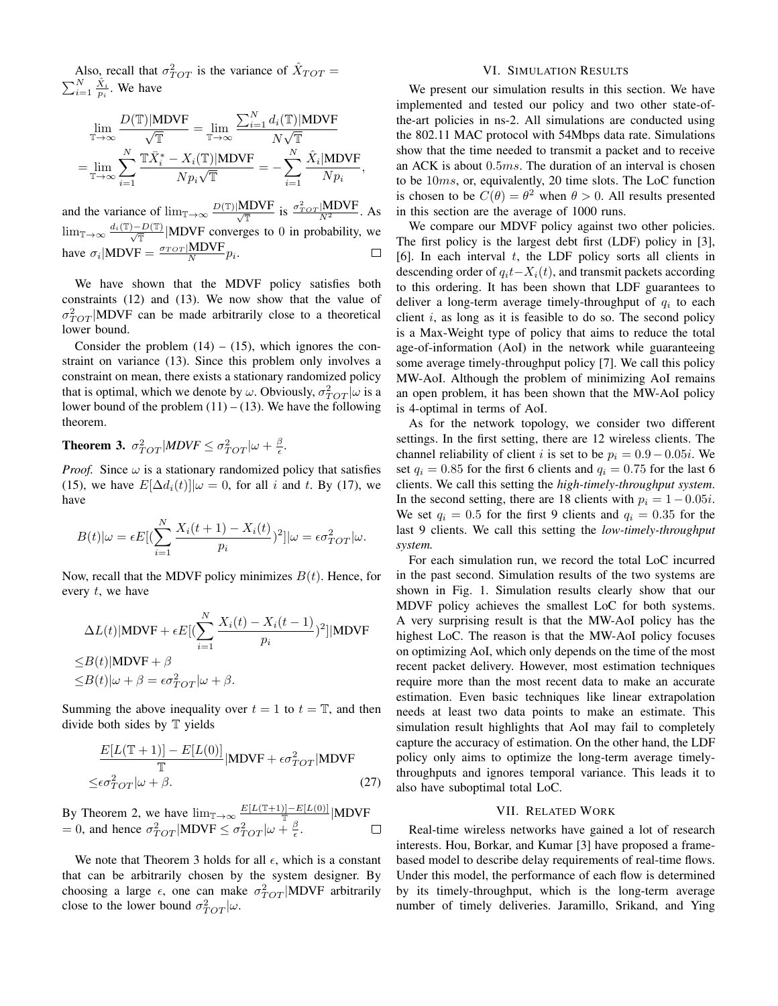Also, recall that  $\sigma_{TOT}^2$  is the variance of  $\hat{X}_{TOT}$  =  $\sum_{i=1}^{N} \frac{\hat{X}_i}{p_i}$ . We have

$$
\lim_{\mathbb{T}\to\infty}\frac{D(\mathbb{T})|\text{MDVF}}{\sqrt{\mathbb{T}}} = \lim_{\mathbb{T}\to\infty}\frac{\sum_{i=1}^{N}d_i(\mathbb{T})|\text{MDVF}}{N\sqrt{\mathbb{T}}} \n= \lim_{\mathbb{T}\to\infty}\sum_{i=1}^{N}\frac{\mathbb{T}\bar{X}_i^* - X_i(\mathbb{T})|\text{MDVF}}{Np_i\sqrt{\mathbb{T}}} = -\sum_{i=1}^{N}\frac{\hat{X}_i|\text{MDVF}}{Np_i},
$$

and the variance of  $\lim_{\mathbb{T}\to\infty} \frac{D(\mathbb{T})|\text{MDVF}}{\sqrt{\mathbb{T}}}$  is  $\frac{\sigma_{TOT}^2|\text{MDVF}}{N^2}$ . As  $\lim_{\mathbb{T}\to\infty}\frac{d_i(\mathbb{T})-D(\mathbb{T})}{\sqrt{\mathbb{T}}}$  |MDVF converges to 0 in probability, we have  $\sigma_i | \text{MDVF} = \frac{\sigma_{TOT} | \text{MDVF}}{N} p_i$ .

We have shown that the MDVF policy satisfies both constraints (12) and (13). We now show that the value of  $\sigma_{TOT}^2$ |MDVF can be made arbitrarily close to a theoretical lower bound.

Consider the problem  $(14) - (15)$ , which ignores the constraint on variance (13). Since this problem only involves a constraint on mean, there exists a stationary randomized policy that is optimal, which we denote by  $\omega$ . Obviously,  $\sigma_{TOT}^2|\omega$  is a lower bound of the problem  $(11) - (13)$ . We have the following theorem.

**Theorem 3.**  $\sigma_{TOT}^2 | MDVF \leq \sigma_{TOT}^2 | \omega + \frac{\beta}{\epsilon}$ .

*Proof.* Since  $\omega$  is a stationary randomized policy that satisfies (15), we have  $E[\Delta d_i(t)]|\omega = 0$ , for all i and t. By (17), we have

$$
B(t)|\omega = \epsilon E[(\sum_{i=1}^{N} \frac{X_i(t+1) - X_i(t)}{p_i})^2]|\omega = \epsilon \sigma_{TOT}^2|\omega.
$$

Now, recall that the MDVF policy minimizes  $B(t)$ . Hence, for every  $t$ , we have

$$
\Delta L(t)|\text{MDVF} + \epsilon E[(\sum_{i=1}^{N} \frac{X_i(t) - X_i(t-1)}{p_i})^2]|\text{MDVF}
$$
  
\n
$$
\leq B(t)|\text{MDVF} + \beta
$$
  
\n
$$
\leq B(t)|\omega + \beta = \epsilon \sigma_{TOT}^2|\omega + \beta.
$$

Summing the above inequality over  $t = 1$  to  $t = \mathbb{T}$ , and then divide both sides by T yields

$$
\frac{E[L(\mathbb{T}+1)] - E[L(0)]}{\mathbb{T}} |MDVF + \epsilon \sigma_{TOT}^2 |MDVF
$$
  
\n
$$
\leq \epsilon \sigma_{TOT}^2 |\omega + \beta.
$$
 (27)

By Theorem 2, we have  $\lim_{\mathbb{T}\to\infty} \frac{E[L(\mathbb{T}+1)]-E[L(0)]}{\mathbb{T}}|MDVF$ = 0, and hence  $\sigma_{TOT}^2 | \text{MDVF} \leq \sigma_{TOT}^2 | \omega + \frac{\beta}{\epsilon}$ .  $\Box$ 

 $\leq$ 

We note that Theorem 3 holds for all  $\epsilon$ , which is a constant that can be arbitrarily chosen by the system designer. By choosing a large  $\epsilon$ , one can make  $\sigma_{TOT}^2$  MDVF arbitrarily close to the lower bound  $\sigma_{TOT}^2|\omega$ .

### VI. SIMULATION RESULTS

We present our simulation results in this section. We have implemented and tested our policy and two other state-ofthe-art policies in ns-2. All simulations are conducted using the 802.11 MAC protocol with 54Mbps data rate. Simulations show that the time needed to transmit a packet and to receive an ACK is about 0.5ms. The duration of an interval is chosen to be 10ms, or, equivalently, 20 time slots. The LoC function is chosen to be  $C(\theta) = \theta^2$  when  $\theta > 0$ . All results presented in this section are the average of 1000 runs.

We compare our MDVF policy against two other policies. The first policy is the largest debt first (LDF) policy in [3], [6]. In each interval  $t$ , the LDF policy sorts all clients in descending order of  $q_i t-X_i(t)$ , and transmit packets according to this ordering. It has been shown that LDF guarantees to deliver a long-term average timely-throughput of  $q_i$  to each client  $i$ , as long as it is feasible to do so. The second policy is a Max-Weight type of policy that aims to reduce the total age-of-information (AoI) in the network while guaranteeing some average timely-throughput policy [7]. We call this policy MW-AoI. Although the problem of minimizing AoI remains an open problem, it has been shown that the MW-AoI policy is 4-optimal in terms of AoI.

As for the network topology, we consider two different settings. In the first setting, there are 12 wireless clients. The channel reliability of client *i* is set to be  $p_i = 0.9 - 0.05i$ . We set  $q_i = 0.85$  for the first 6 clients and  $q_i = 0.75$  for the last 6 clients. We call this setting the *high-timely-throughput system*. In the second setting, there are 18 clients with  $p_i = 1 - 0.05i$ . We set  $q_i = 0.5$  for the first 9 clients and  $q_i = 0.35$  for the last 9 clients. We call this setting the *low-timely-throughput system.*

For each simulation run, we record the total LoC incurred in the past second. Simulation results of the two systems are shown in Fig. 1. Simulation results clearly show that our MDVF policy achieves the smallest LoC for both systems. A very surprising result is that the MW-AoI policy has the highest LoC. The reason is that the MW-AoI policy focuses on optimizing AoI, which only depends on the time of the most recent packet delivery. However, most estimation techniques require more than the most recent data to make an accurate estimation. Even basic techniques like linear extrapolation needs at least two data points to make an estimate. This simulation result highlights that AoI may fail to completely capture the accuracy of estimation. On the other hand, the LDF policy only aims to optimize the long-term average timelythroughputs and ignores temporal variance. This leads it to also have suboptimal total LoC.

#### VII. RELATED WORK

Real-time wireless networks have gained a lot of research interests. Hou, Borkar, and Kumar [3] have proposed a framebased model to describe delay requirements of real-time flows. Under this model, the performance of each flow is determined by its timely-throughput, which is the long-term average number of timely deliveries. Jaramillo, Srikand, and Ying